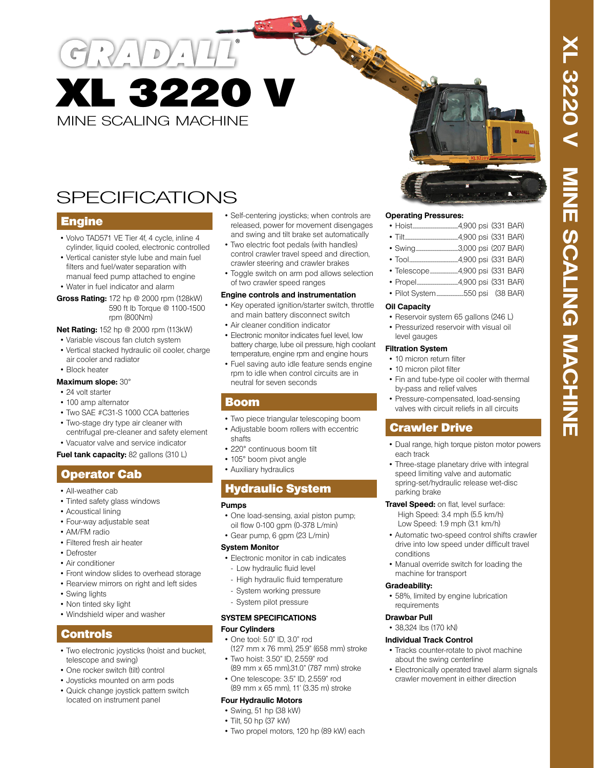# MINE SCALING MACHINE XL 3220 V

## SPECIFICATIONS

## **Engine**

- Volvo TAD571 VE Tier 4f, 4 cycle, inline 4 cylinder, liquid cooled, electronic controlled
- Vertical canister style lube and main fuel filters and fuel/water separation with manual feed pump attached to engine
- Water in fuel indicator and alarm
- **Gross Rating:** 172 hp @ 2000 rpm (128kW) 590 ft lb Torque @ 1100-1500 rpm (800Nm)

#### **Net Rating:** 152 hp @ 2000 rpm (113kW)

- Variable viscous fan clutch system
- Vertical stacked hydraulic oil cooler, charge air cooler and radiator
- Block heater

#### **Maximum slope:** 30°

- 24 volt starter
- 100 amp alternator
- Two SAE #C31-S 1000 CCA batteries
- Two-stage dry type air cleaner with
- centrifugal pre-cleaner and safety element

• Vacuator valve and service indicator **Fuel tank capacity:** 82 gallons (310 L)

## Operator Cab

- All-weather cab
- Tinted safety glass windows
- Acoustical lining
- Four-way adjustable seat
- AM/FM radio
- Filtered fresh air heater
- Defroster
- Air conditioner
- Front window slides to overhead storage
- Rearview mirrors on right and left sides
- Swing lights
- Non tinted sky light
- Windshield wiper and washer

## Controls

- Two electronic joysticks (hoist and bucket, telescope and swing)
- One rocker switch (tilt) control
- Joysticks mounted on arm pods
- Quick change joystick pattern switch located on instrument panel
- Self-centering joysticks; when controls are released, power for movement disengages and swing and tilt brake set automatically
- Two electric foot pedals (with handles) control crawler travel speed and direction, crawler steering and crawler brakes
- Toggle switch on arm pod allows selection of two crawler speed ranges

#### **Engine controls and instrumentation**

- Key operated ignition/starter switch, throttle and main battery disconnect switch
- Air cleaner condition indicator
- Electronic monitor indicates fuel level, low battery charge, lube oil pressure, high coolant temperature, engine rpm and engine hours
- Fuel saving auto idle feature sends engine rpm to idle when control circuits are in neutral for seven seconds

### Boom

- Two piece triangular telescoping boom
- Adjustable boom rollers with eccentric
- shafts
- 220° continuous boom tilt
- 105° boom pivot angle
- Auxiliary hydraulics

## Hydraulic System

#### **Pumps**

- One load-sensing, axial piston pump; oil flow 0-100 gpm (0-378 L/min)
- Gear pump, 6 gpm (23 L/min)

#### **System Monitor**

- Electronic monitor in cab indicates - Low hydraulic fluid level
- High hydraulic fluid temperature
- System working pressure
- System pilot pressure

#### **SYSTEM SPECIFICATIONS Four Cylinders**

- One tool: 5.0" ID, 3.0" rod (127 mm x 76 mm), 25.9" (658 mm) stroke
- Two hoist: 3.50" ID, 2.559" rod (89 mm x 65 mm),31.0" (787 mm) stroke
- One telescope: 3.5" ID, 2.559" rod (89 mm x 65 mm), 11' (3.35 m) stroke

#### **Four Hydraulic Motors**

- Swing, 51 hp (38 kW)
- Tilt, 50 hp (37 kW)
- Two propel motors, 120 hp (89 kW) each

#### **Operating Pressures:**

| $\blacksquare$ |  | $1000$ noi $(221$ RAD) |
|----------------|--|------------------------|

- Tool.............................................4,900 psi (331 BAR)
- Telescope..........................4,900 psi (331 BAR)
- Propel......................................4,900 psi (331 BAR)
- Pilot System.........................550 psi (38 BAR)

#### **Oil Capacity**

- Reservoir system 65 gallons (246 L)
- Pressurized reservoir with visual oil level gauges

#### **Filtration System**

- 10 micron return filter
- 10 micron pilot filter
- Fin and tube-type oil cooler with thermal by-pass and relief valves
- Pressure-compensated, load-sensing valves with circuit reliefs in all circuits

## Crawler Drive

- Dual range, high torque piston motor powers each track
- Three-stage planetary drive with integral speed limiting valve and automatic spring-set/hydraulic release wet-disc parking brake
- **Travel Speed:** on flat, level surface: High Speed: 3.4 mph (5.5 km/h) Low Speed: 1.9 mph (3.1 km/h)
- Automatic two-speed control shifts crawler drive into low speed under difficult travel conditions
- Manual override switch for loading the machine for transport

#### **Gradeability:**

• 58%, limited by engine lubrication requirements

#### **Drawbar Pull**

• 38,324 lbs (170 kN)

#### **Individual Track Control**

- Tracks counter-rotate to pivot machine about the swing centerline
- Electronically operated travel alarm signals crawler movement in either direction
- 
-